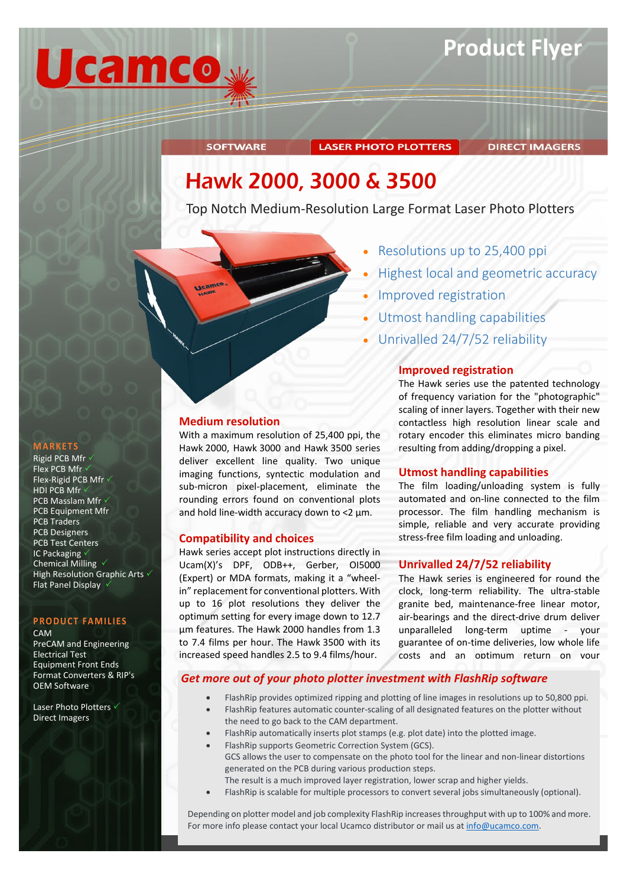

# **LASER PHOTO PLOTTERS**

**DIRECT IMAGERS** 

# Hawk 2000, 3000 & 3500

Top Notch Medium-Resolution Large Format Laser Photo Plotters



- Resolutions up to 25,400 ppi
- Highest local and geometric accuracy
- Improved registration
- Utmost handling capabilities
- Unrivalled 24/7/52 reliability

# **Improved registration**

The Hawk series use the patented technology of frequency variation for the "photographic" scaling of inner layers. Together with their new contactless high resolution linear scale and rotary encoder this eliminates micro banding resulting from adding/dropping a pixel.

# **Utmost handling capabilities**

The film loading/unloading system is fully automated and on-line connected to the film processor. The film handling mechanism is simple, reliable and very accurate providing stress-free film loading and unloading.

# **Unrivalled 24/7/52 reliability**

The Hawk series is engineered for round the clock, long-term reliability. The ultra-stable granite bed, maintenance-free linear motor, air-bearings and the direct-drive drum deliver unparalleled long-term uptime - your guarantee of on-time deliveries, low whole life costs and an optimum return on your

# *Get more out of your photo plotter investment with FlashRip software*

- FlashRip provides optimized ripping and plotting of line images in resolutions up to 50,800 ppi.
- FlashRip features automatic counter-scaling of all designated features on the plotter without the need to go back to the CAM department.
- FlashRip automatically inserts plot stamps (e.g. plot date) into the plotted image.
- FlashRip supports Geometric Correction System (GCS).
- GCS allows the user to compensate on the photo tool for the linear and non-linear distortions generated on the PCB during various production steps.
- The result is a much improved layer registration, lower scrap and higher yields.
- FlashRip is scalable for multiple processors to convert several jobs simultaneously (optional).

Depending on plotter model and job complexity FlashRip increases throughput with up to 100% and more. For more info please contact your local Ucamco distributor or mail us at [info@ucamco.com.](mailto:info@ucamco.com)

# **MARKETS**

### Rigid PCB Mfr Flex PCB Mfr Flex-Rigid PCB Mfr v HDI PCB Mfr PCB Masslam Mfr  $\checkmark$ PCB Equipment Mfr PCB Traders PCB Designers PCB Test Centers IC Packaging Chemical Milling  $\sqrt{}$ High Resolution Graphic Arts  $\checkmark$ Flat Panel Display

### **PRODUCT FAMILIES**

CAM

PreCAM and Engineering Electrical Test Equipment Front Ends Format Converters & RIP's OEM Software

Laser Photo Plotters √ Direct Imagers

# **Medium resolution**

**SOFTWARE** 

With a maximum resolution of 25,400 ppi, the Hawk 2000, Hawk 3000 and Hawk 3500 series deliver excellent line quality. Two unique imaging functions, syntectic modulation and sub-micron pixel-placement, eliminate the rounding errors found on conventional plots and hold line-width accuracy down to <2 µm.

# **Compatibility and choices**

Hawk series accept plot instructions directly in Ucam(X)'s DPF, ODB++, Gerber, OI5000 (Expert) or MDA formats, making it a "wheelin" replacement for conventional plotters. With up to 16 plot resolutions they deliver the optimum setting for every image down to 12.7 µm features. The Hawk 2000 handles from 1.3 to 7.4 films per hour. The Hawk 3500 with its increased speed handles 2.5 to 9.4 films/hour.